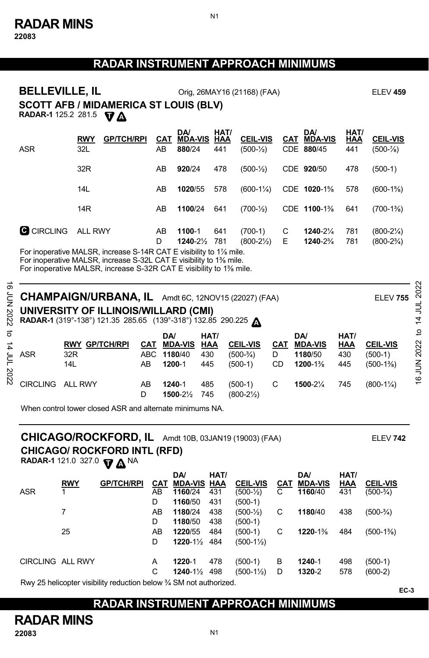## **RADAR INSTRUMENT APPROACH MINIMUMS**

N1

| <b>BELLEVILLE, IL</b><br><b>SCOTT AFB / MIDAMERICA ST LOUIS (BLV)</b><br><b>RADAR-1</b> 125.2 281.5                                                                                                                          |                 | VЛ                | Orig, 26MAY16 (21168) (FAA) |                         | <b>ELEV 459</b> |                                   |        |                             |             |                                  |
|------------------------------------------------------------------------------------------------------------------------------------------------------------------------------------------------------------------------------|-----------------|-------------------|-----------------------------|-------------------------|-----------------|-----------------------------------|--------|-----------------------------|-------------|----------------------------------|
|                                                                                                                                                                                                                              | RWY             | <b>GP/TCH/RPI</b> | CAT                         | DA/<br><b>MDA-VIS</b>   | HAT/<br>HAA     | <b>CEIL-VIS</b>                   | CAT    | <b>DA</b><br><b>MDA-VIS</b> | HAT/<br>HAA | <b>CEIL-VIS</b>                  |
| ASR                                                                                                                                                                                                                          | 32L             |                   | AB                          | 880/24                  | 441             | $(500 - \frac{1}{2})$             |        | CDE 880/45                  | 441         | (500-1⁄8)                        |
|                                                                                                                                                                                                                              | 32R             |                   | AB                          | 920/24                  | 478             | $(500 - \frac{1}{2})$             |        | CDE 920/50                  | 478         | $(500-1)$                        |
|                                                                                                                                                                                                                              | 14L             |                   | AB                          | 1020/55                 | 578             | $(600-1\frac{1}{4})$              |        | CDE 1020-1%                 | 578         | $(600-1\%)$                      |
|                                                                                                                                                                                                                              | 14 <sub>R</sub> |                   | AB                          | 1100/24                 | 641             | $(700 - \frac{1}{2})$             |        | CDE 1100-1%                 | 641         | $(700-1\%)$                      |
| <b>G</b> CIRCLING                                                                                                                                                                                                            | <b>ALL RWY</b>  |                   | AB<br>D                     | 1100-1<br>1240-21/2 781 | 641             | $(700-1)$<br>$(800-2\frac{1}{2})$ | C<br>Е | 1240-21/4<br>1240-2%        | 781<br>781  | $(800-2\frac{1}{4})$<br>(800-2¾) |
| For inoperative MALSR, increase S-14R CAT E visibility to 1% mile.<br>For inoperative MALSR, increase S-32L CAT E visibility to 1% mile.<br>For inoperative MALSR, increase S-32R CAT E visibility to 1 <sup>3</sup> % mile. |                 |                   |                             |                         |                 |                                   |        |                             |             |                                  |

| ಹೆ<br>2022  | E CHAMPAIGN/URBANA, IL Amdt 6C, 12NOV15 (22027) (FAA)<br><b>ELEV 755</b><br>UNIVERSITY OF ILLINOIS/WILLARD (CMI)<br>RADAR-1 (319°-138°) 121.35 285.65 (139°-318°) 132.85 290.225 A |                                     |           |                                                      |                           |                                             |                       |                                             |                                  |                                             |                  |  |
|-------------|------------------------------------------------------------------------------------------------------------------------------------------------------------------------------------|-------------------------------------|-----------|------------------------------------------------------|---------------------------|---------------------------------------------|-----------------------|---------------------------------------------|----------------------------------|---------------------------------------------|------------------|--|
| ನ<br>4<br>ξ | ASR                                                                                                                                                                                | <b>RWY GP/TCH/RPI</b><br>32R<br>14L | CAT<br>AB | <b>DA</b><br><b>MDA-VIS</b><br>ABC 1180/40<br>1200-1 | HAT/<br>HAA<br>430<br>445 | <b>CEIL-VIS</b><br>$(500-3/4)$<br>$(500-1)$ | <b>CAT</b><br>D<br>CD | DA/<br><b>MDA-VIS</b><br>1180/50<br>1200-1% | HAT/<br><b>HAA</b><br>430<br>445 | <b>CEIL-VIS</b><br>$(500-1)$<br>$(500-1\%)$ | đ<br>16 JUN 2022 |  |
| 2022        | <b>CIRCLING</b>                                                                                                                                                                    | <b>ALL RWY</b>                      | AB<br>D   | 1240-1<br>1500-21/2                                  | 485<br>745                | $(500-1)$<br>$(800-2\frac{1}{2})$           | С                     | 1500-21/4                                   | 745                              | $(800-1\frac{1}{4})$                        |                  |  |

When control tower closed ASR and alternate minimums NA.

## **CHICAGO/ ROCKFORD INTL (RFD) CHICAGO/ROCKFORD, IL** Amdt 10B, 03JAN19 (19003) (FAA) ELEV **742**

**RADAR-1** 121.0 327.0  $\nabla \mathbf{\Delta}^{\mathsf{NA}}$ 

| <b>RWY</b>              | <b>GP/TCH/RPI</b> | CAT    |                                 |     | <b>CEIL-VIS</b>                                                  | CAT    | <b>MDA-VIS</b>   | <b>HAA</b> | <b>CEIL-VIS</b>          |
|-------------------------|-------------------|--------|---------------------------------|-----|------------------------------------------------------------------|--------|------------------|------------|--------------------------|
|                         |                   | AB     | 1160/24                         |     | $(500 - \frac{1}{2})$                                            | C      | 1160/40          |            | $(500-3/4)$              |
|                         |                   | D      | 1160/50                         | 431 | $(500-1)$                                                        |        |                  |            |                          |
| 7                       |                   | AB     | 1180/24                         | 438 | $(500 - \frac{1}{2})$                                            | C      | 1180/40          | 438        | $(500-3/4)$              |
|                         |                   | D      | 1180/50                         | 438 | $(500-1)$                                                        |        |                  |            |                          |
| 25                      |                   | AB     | 1220/55                         | 484 | $(500-1)$                                                        | С      | 1220-1%          | 484        | $(500-1\%)$              |
|                         |                   | D      |                                 |     | $(500-1\frac{1}{2})$                                             |        |                  |            |                          |
| <b>CIRCLING ALL RWY</b> |                   | A<br>С | 1220-1<br>$1240 - 1\frac{1}{2}$ | 478 | $(500-1)$<br>$(500-1\frac{1}{2})$                                | в<br>D | 1240-1<br>1320-2 | 498<br>578 | $(500-1)$<br>$(600-2)$   |
|                         |                   |        |                                 | DA/ | <b>MDA-VIS HAA</b><br>431<br>$1220 - 1\frac{1}{2}$<br>484<br>498 | HAT/   |                  |            | HAT/<br><b>DA</b><br>431 |

Rwy 25 helicopter visibility reduction below ¾ SM not authorized.

## **RADAR INSTRUMENT APPROACH MINIMUMS**